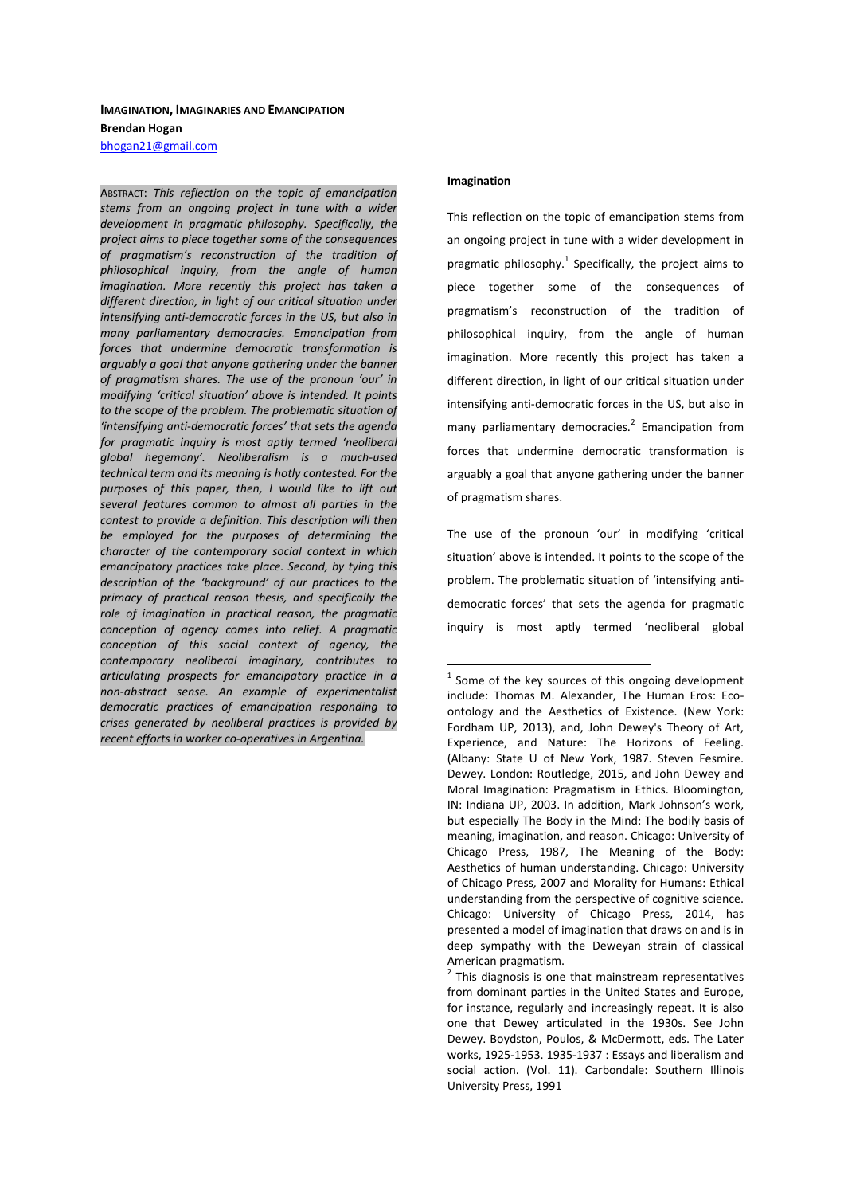#### **IMAGINATION, IMAGINARIES AND EMANCIPATION**

**Brendan Hogan** 

bhogan21@gmail.com

ABSTRACT: *This reflection on the topic of emancipation stems from an ongoing project in tune with a wider development in pragmatic philosophy. Specifically, the project aims to piece together some of the consequences of pragmatism's reconstruction of the tradition of philosophical inquiry, from the angle of human imagination. More recently this project has taken a different direction, in light of our critical situation under intensifying anti-democratic forces in the US, but also in many parliamentary democracies. Emancipation from forces that undermine democratic transformation is arguably a goal that anyone gathering under the banner of pragmatism shares. The use of the pronoun 'our' in modifying 'critical situation' above is intended. It points to the scope of the problem. The problematic situation of 'intensifying anti-democratic forces' that sets the agenda for pragmatic inquiry is most aptly termed 'neoliberal global hegemony'. Neoliberalism is a much-used technical term and its meaning is hotly contested. For the purposes of this paper, then, I would like to lift out several features common to almost all parties in the contest to provide a definition. This description will then be employed for the purposes of determining the character of the contemporary social context in which emancipatory practices take place. Second, by tying this description of the 'background' of our practices to the primacy of practical reason thesis, and specifically the role of imagination in practical reason, the pragmatic conception of agency comes into relief. A pragmatic conception of this social context of agency, the contemporary neoliberal imaginary, contributes to articulating prospects for emancipatory practice in a non-abstract sense. An example of experimentalist democratic practices of emancipation responding to crises generated by neoliberal practices is provided by recent efforts in worker co-operatives in Argentina.* 

#### **Imagination**

 $\overline{a}$ 

This reflection on the topic of emancipation stems from an ongoing project in tune with a wider development in pragmatic philosophy.<sup>1</sup> Specifically, the project aims to piece together some of the consequences of pragmatism's reconstruction of the tradition of philosophical inquiry, from the angle of human imagination. More recently this project has taken a different direction, in light of our critical situation under intensifying anti-democratic forces in the US, but also in many parliamentary democracies.<sup>2</sup> Emancipation from forces that undermine democratic transformation is arguably a goal that anyone gathering under the banner of pragmatism shares.

The use of the pronoun 'our' in modifying 'critical situation' above is intended. It points to the scope of the problem. The problematic situation of 'intensifying antidemocratic forces' that sets the agenda for pragmatic inquiry is most aptly termed 'neoliberal global

 $1$  Some of the key sources of this ongoing development include: Thomas M. Alexander, The Human Eros: Ecoontology and the Aesthetics of Existence. (New York: Fordham UP, 2013), and, John Dewey's Theory of Art, Experience, and Nature: The Horizons of Feeling. (Albany: State U of New York, 1987. Steven Fesmire. Dewey. London: Routledge, 2015, and John Dewey and Moral Imagination: Pragmatism in Ethics. Bloomington, IN: Indiana UP, 2003. In addition, Mark Johnson's work, but especially The Body in the Mind: The bodily basis of meaning, imagination, and reason. Chicago: University of Chicago Press, 1987, The Meaning of the Body: Aesthetics of human understanding. Chicago: University of Chicago Press, 2007 and Morality for Humans: Ethical understanding from the perspective of cognitive science. Chicago: University of Chicago Press, 2014, has presented a model of imagination that draws on and is in deep sympathy with the Deweyan strain of classical American pragmatism.

 $2$  This diagnosis is one that mainstream representatives from dominant parties in the United States and Europe, for instance, regularly and increasingly repeat. It is also one that Dewey articulated in the 1930s. See John Dewey. Boydston, Poulos, & McDermott, eds. The Later works, 1925-1953. 1935-1937 : Essays and liberalism and social action. (Vol. 11). Carbondale: Southern Illinois University Press, 1991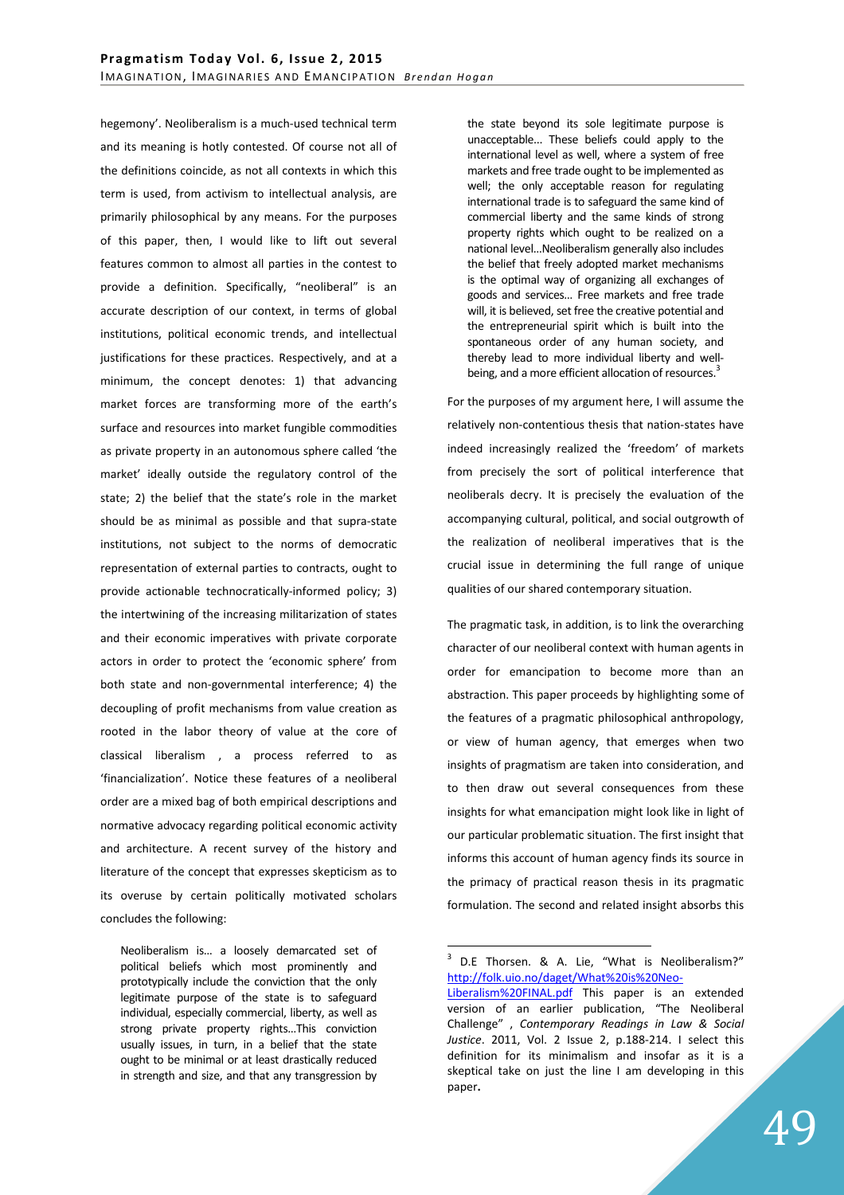hegemony'. Neoliberalism is a much-used technical term and its meaning is hotly contested. Of course not all of the definitions coincide, as not all contexts in which this term is used, from activism to intellectual analysis, are primarily philosophical by any means. For the purposes of this paper, then, I would like to lift out several features common to almost all parties in the contest to provide a definition. Specifically, "neoliberal" is an accurate description of our context, in terms of global institutions, political economic trends, and intellectual justifications for these practices. Respectively, and at a minimum, the concept denotes: 1) that advancing market forces are transforming more of the earth's surface and resources into market fungible commodities as private property in an autonomous sphere called 'the market' ideally outside the regulatory control of the state; 2) the belief that the state's role in the market should be as minimal as possible and that supra-state institutions, not subject to the norms of democratic representation of external parties to contracts, ought to provide actionable technocratically-informed policy; 3) the intertwining of the increasing militarization of states and their economic imperatives with private corporate actors in order to protect the 'economic sphere' from both state and non-governmental interference; 4) the decoupling of profit mechanisms from value creation as rooted in the labor theory of value at the core of classical liberalism , a process referred to as 'financialization'. Notice these features of a neoliberal order are a mixed bag of both empirical descriptions and normative advocacy regarding political economic activity and architecture. A recent survey of the history and literature of the concept that expresses skepticism as to its overuse by certain politically motivated scholars concludes the following:

Neoliberalism is… a loosely demarcated set of political beliefs which most prominently and prototypically include the conviction that the only legitimate purpose of the state is to safeguard individual, especially commercial, liberty, as well as strong private property rights…This conviction usually issues, in turn, in a belief that the state ought to be minimal or at least drastically reduced in strength and size, and that any transgression by

the state beyond its sole legitimate purpose is unacceptable... These beliefs could apply to the international level as well, where a system of free markets and free trade ought to be implemented as well; the only acceptable reason for regulating international trade is to safeguard the same kind of commercial liberty and the same kinds of strong property rights which ought to be realized on a national level…Neoliberalism generally also includes the belief that freely adopted market mechanisms is the optimal way of organizing all exchanges of goods and services… Free markets and free trade will, it is believed, set free the creative potential and the entrepreneurial spirit which is built into the spontaneous order of any human society, and thereby lead to more individual liberty and wellbeing, and a more efficient allocation of resources.<sup>3</sup>

For the purposes of my argument here, I will assume the relatively non-contentious thesis that nation-states have indeed increasingly realized the 'freedom' of markets from precisely the sort of political interference that neoliberals decry. It is precisely the evaluation of the accompanying cultural, political, and social outgrowth of the realization of neoliberal imperatives that is the crucial issue in determining the full range of unique qualities of our shared contemporary situation.

The pragmatic task, in addition, is to link the overarching character of our neoliberal context with human agents in order for emancipation to become more than an abstraction. This paper proceeds by highlighting some of the features of a pragmatic philosophical anthropology, or view of human agency, that emerges when two insights of pragmatism are taken into consideration, and to then draw out several consequences from these insights for what emancipation might look like in light of our particular problematic situation. The first insight that informs this account of human agency finds its source in the primacy of practical reason thesis in its pragmatic formulation. The second and related insight absorbs this

 $3$  D.E Thorsen. & A. Lie, "What is Neoliberalism?" http://folk.uio.no/daget/What%20is%20Neo-

Liberalism%20FINAL.pdf This paper is an extended version of an earlier publication, "The Neoliberal Challenge" , *Contemporary Readings in Law & Social Justice*. 2011, Vol. 2 Issue 2, p.188-214. I select this definition for its minimalism and insofar as it is a skeptical take on just the line I am developing in this paper**.**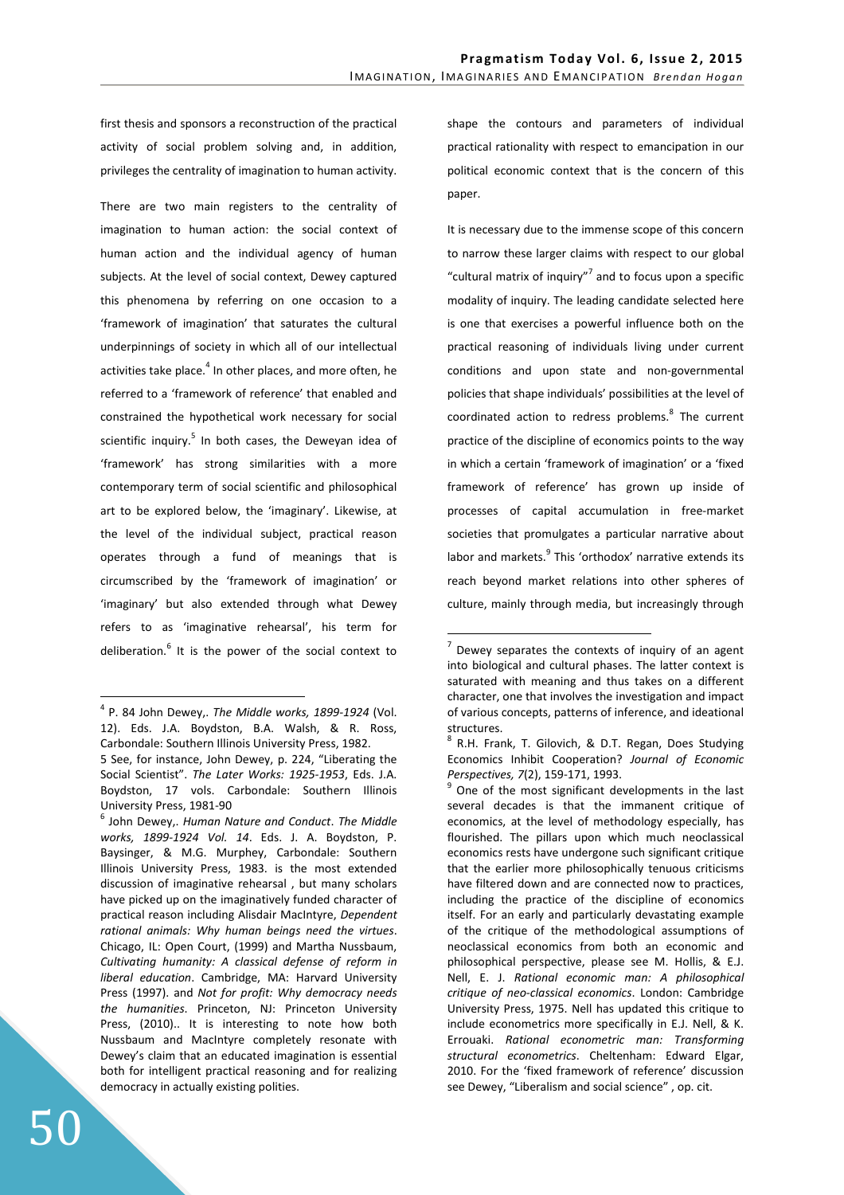first thesis and sponsors a reconstruction of the practical activity of social problem solving and, in addition, privileges the centrality of imagination to human activity.

There are two main registers to the centrality of imagination to human action: the social context of human action and the individual agency of human subjects. At the level of social context, Dewey captured this phenomena by referring on one occasion to a 'framework of imagination' that saturates the cultural underpinnings of society in which all of our intellectual activities take place.<sup>4</sup> In other places, and more often, he referred to a 'framework of reference' that enabled and constrained the hypothetical work necessary for social scientific inquiry.<sup>5</sup> In both cases, the Deweyan idea of 'framework' has strong similarities with a more contemporary term of social scientific and philosophical art to be explored below, the 'imaginary'. Likewise, at the level of the individual subject, practical reason operates through a fund of meanings that is circumscribed by the 'framework of imagination' or 'imaginary' but also extended through what Dewey refers to as 'imaginative rehearsal', his term for deliberation.<sup>6</sup> It is the power of the social context to shape the contours and parameters of individual practical rationality with respect to emancipation in our political economic context that is the concern of this paper.

It is necessary due to the immense scope of this concern to narrow these larger claims with respect to our global "cultural matrix of inquiry"<sup>7</sup> and to focus upon a specific modality of inquiry. The leading candidate selected here is one that exercises a powerful influence both on the practical reasoning of individuals living under current conditions and upon state and non-governmental policies that shape individuals' possibilities at the level of coordinated action to redress problems.<sup>8</sup> The current practice of the discipline of economics points to the way in which a certain 'framework of imagination' or a 'fixed framework of reference' has grown up inside of processes of capital accumulation in free-market societies that promulgates a particular narrative about labor and markets.<sup>9</sup> This 'orthodox' narrative extends its reach beyond market relations into other spheres of culture, mainly through media, but increasingly through

 $\overline{a}$ 

<sup>4</sup> P. 84 John Dewey,. *The Middle works, 1899-1924* (Vol. 12). Eds. J.A. Boydston, B.A. Walsh, & R. Ross, Carbondale: Southern Illinois University Press, 1982.

<sup>5</sup> See, for instance, John Dewey, p. 224, "Liberating the Social Scientist". *The Later Works: 1925-1953*, Eds. J.A. Boydston, 17 vols. Carbondale: Southern Illinois University Press, 1981-90

<sup>6</sup> John Dewey,. *Human Nature and Conduct*. *The Middle works, 1899-1924 Vol. 14*. Eds. J. A. Boydston, P. Baysinger, & M.G. Murphey, Carbondale: Southern Illinois University Press, 1983. is the most extended discussion of imaginative rehearsal , but many scholars have picked up on the imaginatively funded character of practical reason including Alisdair MacIntyre, *Dependent rational animals: Why human beings need the virtues*. Chicago, IL: Open Court, (1999) and Martha Nussbaum, *Cultivating humanity: A classical defense of reform in liberal education*. Cambridge, MA: Harvard University Press (1997). and *Not for profit: Why democracy needs the humanities*. Princeton, NJ: Princeton University Press, (2010).. It is interesting to note how both Nussbaum and MacIntyre completely resonate with Dewey's claim that an educated imagination is essential both for intelligent practical reasoning and for realizing democracy in actually existing polities.

 $7$  Dewey separates the contexts of inquiry of an agent into biological and cultural phases. The latter context is saturated with meaning and thus takes on a different character, one that involves the investigation and impact of various concepts, patterns of inference, and ideational structures.

<sup>&</sup>lt;sup>8</sup> R.H. Frank, T. Gilovich, & D.T. Regan, Does Studying Economics Inhibit Cooperation? *Journal of Economic Perspectives, 7*(2), 159-171, 1993.

 $9^9$  One of the most significant developments in the last several decades is that the immanent critique of economics, at the level of methodology especially, has flourished. The pillars upon which much neoclassical economics rests have undergone such significant critique that the earlier more philosophically tenuous criticisms have filtered down and are connected now to practices, including the practice of the discipline of economics itself. For an early and particularly devastating example of the critique of the methodological assumptions of neoclassical economics from both an economic and philosophical perspective, please see M. Hollis, & E.J. Nell, E. J. *Rational economic man: A philosophical critique of neo-classical economics*. London: Cambridge University Press, 1975. Nell has updated this critique to include econometrics more specifically in E.J. Nell, & K. Errouaki. *Rational econometric man: Transforming structural econometrics*. Cheltenham: Edward Elgar, 2010. For the 'fixed framework of reference' discussion see Dewey, "Liberalism and social science" , op. cit.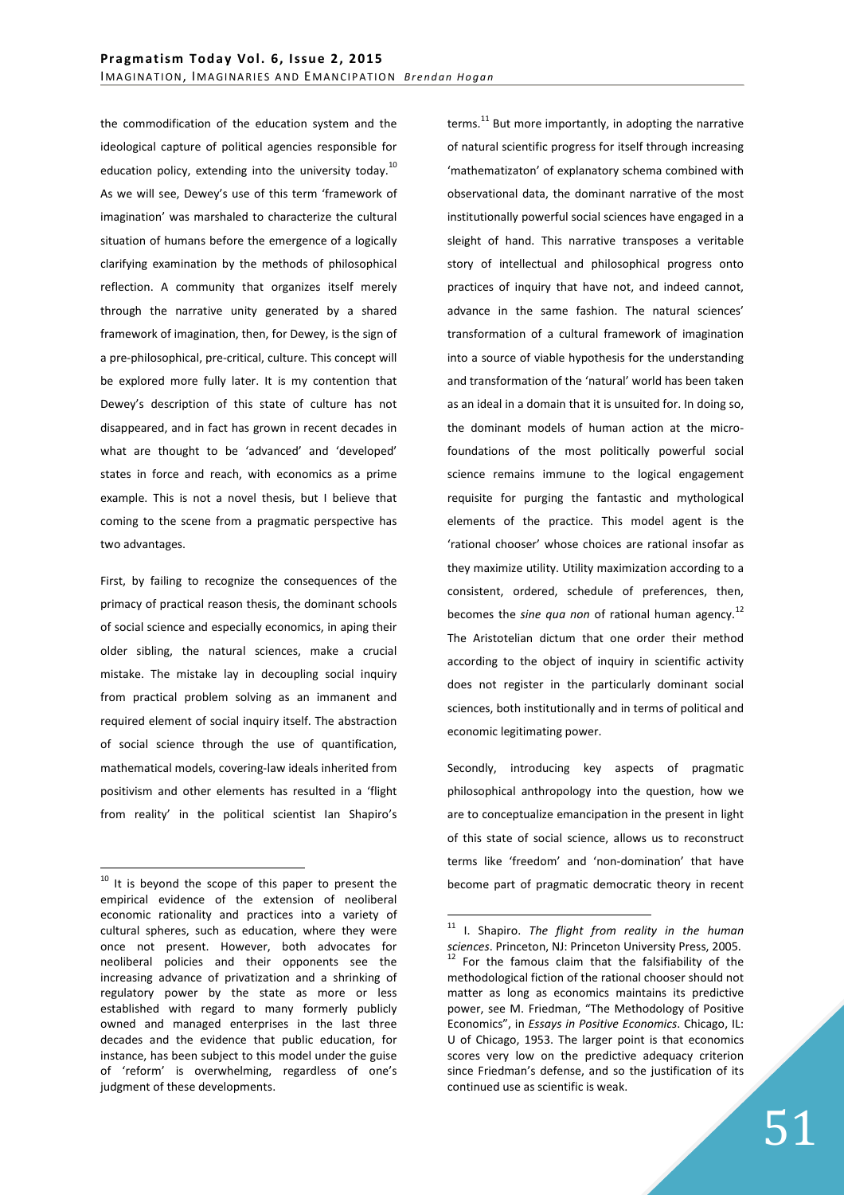the commodification of the education system and the ideological capture of political agencies responsible for education policy, extending into the university today.<sup>10</sup> As we will see, Dewey's use of this term 'framework of imagination' was marshaled to characterize the cultural situation of humans before the emergence of a logically clarifying examination by the methods of philosophical reflection. A community that organizes itself merely through the narrative unity generated by a shared framework of imagination, then, for Dewey, is the sign of a pre-philosophical, pre-critical, culture. This concept will be explored more fully later. It is my contention that Dewey's description of this state of culture has not disappeared, and in fact has grown in recent decades in what are thought to be 'advanced' and 'developed' states in force and reach, with economics as a prime example. This is not a novel thesis, but I believe that coming to the scene from a pragmatic perspective has two advantages.

First, by failing to recognize the consequences of the primacy of practical reason thesis, the dominant schools of social science and especially economics, in aping their older sibling, the natural sciences, make a crucial mistake. The mistake lay in decoupling social inquiry from practical problem solving as an immanent and required element of social inquiry itself. The abstraction of social science through the use of quantification, mathematical models, covering-law ideals inherited from positivism and other elements has resulted in a 'flight from reality' in the political scientist Ian Shapiro's

 $\overline{a}$ 

terms. $^{11}$  But more importantly, in adopting the narrative of natural scientific progress for itself through increasing 'mathematizaton' of explanatory schema combined with observational data, the dominant narrative of the most institutionally powerful social sciences have engaged in a sleight of hand. This narrative transposes a veritable story of intellectual and philosophical progress onto practices of inquiry that have not, and indeed cannot, advance in the same fashion. The natural sciences' transformation of a cultural framework of imagination into a source of viable hypothesis for the understanding and transformation of the 'natural' world has been taken as an ideal in a domain that it is unsuited for. In doing so, the dominant models of human action at the microfoundations of the most politically powerful social science remains immune to the logical engagement requisite for purging the fantastic and mythological elements of the practice. This model agent is the 'rational chooser' whose choices are rational insofar as they maximize utility. Utility maximization according to a consistent, ordered, schedule of preferences, then, becomes the *sine qua non* of rational human agency.<sup>12</sup> The Aristotelian dictum that one order their method according to the object of inquiry in scientific activity does not register in the particularly dominant social sciences, both institutionally and in terms of political and economic legitimating power.

Secondly, introducing key aspects of pragmatic philosophical anthropology into the question, how we are to conceptualize emancipation in the present in light of this state of social science, allows us to reconstruct terms like 'freedom' and 'non-domination' that have become part of pragmatic democratic theory in recent

<sup>&</sup>lt;sup>10</sup> It is beyond the scope of this paper to present the empirical evidence of the extension of neoliberal economic rationality and practices into a variety of cultural spheres, such as education, where they were once not present. However, both advocates for neoliberal policies and their opponents see the increasing advance of privatization and a shrinking of regulatory power by the state as more or less established with regard to many formerly publicly owned and managed enterprises in the last three decades and the evidence that public education, for instance, has been subject to this model under the guise of 'reform' is overwhelming, regardless of one's judgment of these developments.

<sup>11</sup> I. Shapiro. *The flight from reality in the human sciences*. Princeton, NJ: Princeton University Press, 2005.  $12$  For the famous claim that the falsifiability of the methodological fiction of the rational chooser should not matter as long as economics maintains its predictive power, see M. Friedman, "The Methodology of Positive Economics", in *Essays in Positive Economics*. Chicago, IL: U of Chicago, 1953. The larger point is that economics scores very low on the predictive adequacy criterion since Friedman's defense, and so the justification of its continued use as scientific is weak.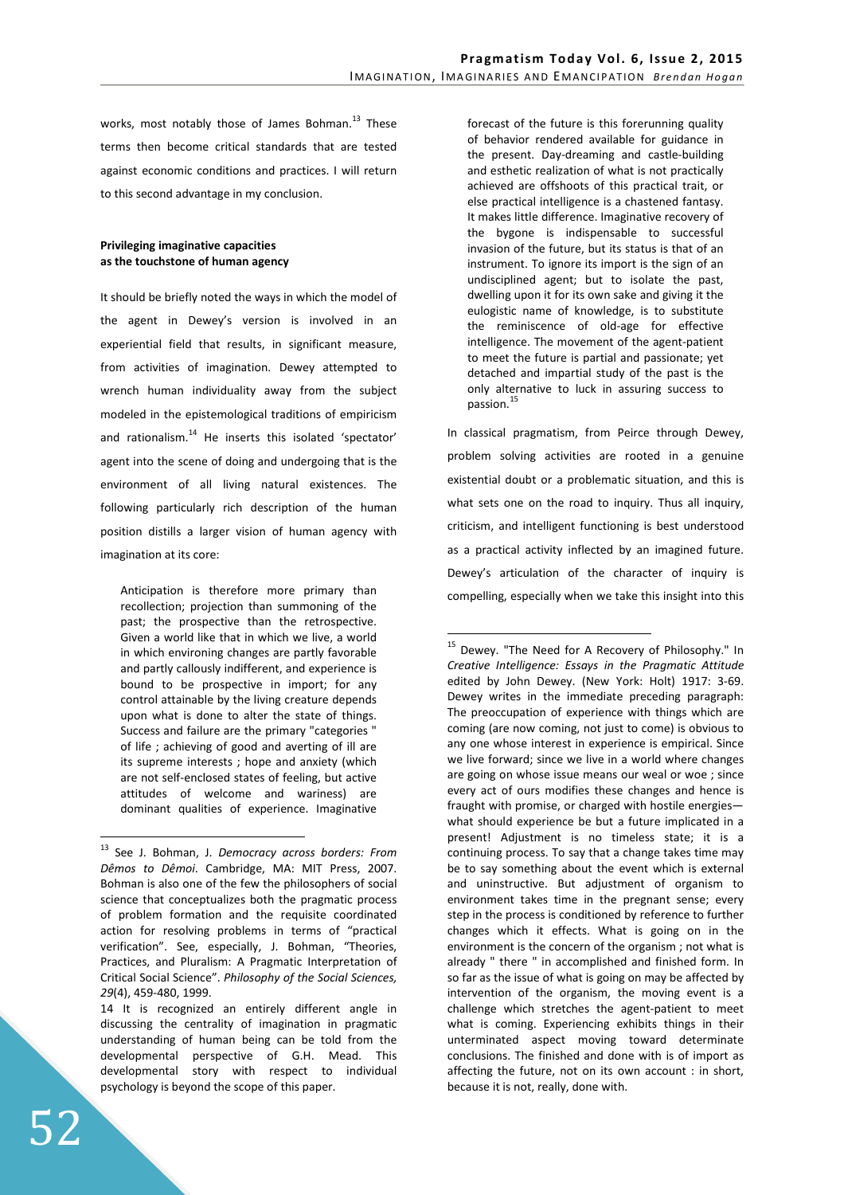works, most notably those of James Bohman.<sup>13</sup> These terms then become critical standards that are tested against economic conditions and practices. I will return to this second advantage in my conclusion.

## **Privileging imaginative capacities as the touchstone of human agency**

It should be briefly noted the ways in which the model of the agent in Dewey's version is involved in an experiential field that results, in significant measure, from activities of imagination. Dewey attempted to wrench human individuality away from the subject modeled in the epistemological traditions of empiricism and rationalism.<sup>14</sup> He inserts this isolated 'spectator' agent into the scene of doing and undergoing that is the environment of all living natural existences. The following particularly rich description of the human position distills a larger vision of human agency with imagination at its core:

Anticipation is therefore more primary than recollection; projection than summoning of the past; the prospective than the retrospective. Given a world like that in which we live, a world in which environing changes are partly favorable and partly callously indifferent, and experience is bound to be prospective in import; for any control attainable by the living creature depends upon what is done to alter the state of things. Success and failure are the primary "categories " of life ; achieving of good and averting of ill are its supreme interests ; hope and anxiety (which are not self-enclosed states of feeling, but active attitudes of welcome and wariness) are dominant qualities of experience. Imaginative

<sup>13</sup> See J. Bohman, J. *Democracy across borders: From Dêmos to Dêmoi*. Cambridge, MA: MIT Press, 2007. Bohman is also one of the few the philosophers of social science that conceptualizes both the pragmatic process of problem formation and the requisite coordinated action for resolving problems in terms of "practical verification". See, especially, J. Bohman, "Theories, Practices, and Pluralism: A Pragmatic Interpretation of Critical Social Science". *Philosophy of the Social Sciences, 29*(4), 459-480, 1999.

forecast of the future is this forerunning quality of behavior rendered available for guidance in the present. Day-dreaming and castle-building and esthetic realization of what is not practically achieved are offshoots of this practical trait, or else practical intelligence is a chastened fantasy. It makes little difference. Imaginative recovery of the bygone is indispensable to successful invasion of the future, but its status is that of an instrument. To ignore its import is the sign of an undisciplined agent; but to isolate the past, dwelling upon it for its own sake and giving it the eulogistic name of knowledge, is to substitute the reminiscence of old-age for effective intelligence. The movement of the agent-patient to meet the future is partial and passionate; yet detached and impartial study of the past is the only alternative to luck in assuring success to passion.<sup>15</sup>

In classical pragmatism, from Peirce through Dewey, problem solving activities are rooted in a genuine existential doubt or a problematic situation, and this is what sets one on the road to inquiry. Thus all inquiry, criticism, and intelligent functioning is best understood as a practical activity inflected by an imagined future. Dewey's articulation of the character of inquiry is compelling, especially when we take this insight into this

 $\overline{a}$ 

<sup>14</sup> It is recognized an entirely different angle in discussing the centrality of imagination in pragmatic understanding of human being can be told from the developmental perspective of G.H. Mead. This developmental story with respect to individual psychology is beyond the scope of this paper.

<sup>&</sup>lt;sup>15</sup> Dewey. "The Need for A Recovery of Philosophy." In *Creative Intelligence: Essays in the Pragmatic Attitude* edited by John Dewey. (New York: Holt) 1917: 3-69. Dewey writes in the immediate preceding paragraph: The preoccupation of experience with things which are coming (are now coming, not just to come) is obvious to any one whose interest in experience is empirical. Since we live forward; since we live in a world where changes are going on whose issue means our weal or woe ; since every act of ours modifies these changes and hence is fraught with promise, or charged with hostile energies what should experience be but a future implicated in a present! Adjustment is no timeless state; it is a continuing process. To say that a change takes time may be to say something about the event which is external and uninstructive. But adjustment of organism to environment takes time in the pregnant sense; every step in the process is conditioned by reference to further changes which it effects. What is going on in the environment is the concern of the organism ; not what is already " there " in accomplished and finished form. In so far as the issue of what is going on may be affected by intervention of the organism, the moving event is a challenge which stretches the agent-patient to meet what is coming. Experiencing exhibits things in their unterminated aspect moving toward determinate conclusions. The finished and done with is of import as affecting the future, not on its own account : in short, because it is not, really, done with.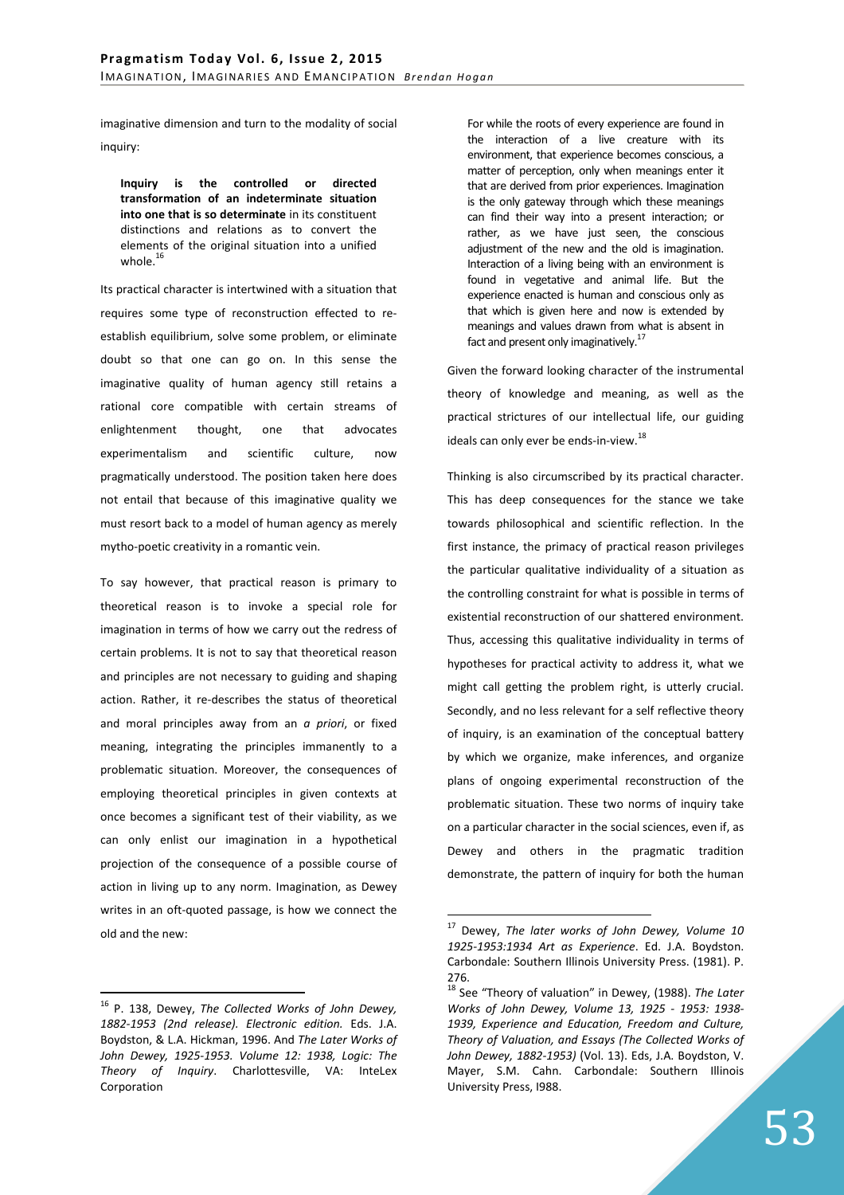imaginative dimension and turn to the modality of social inquiry:

**Inquiry is the controlled or directed transformation of an indeterminate situation into one that is so determinate** in its constituent distinctions and relations as to convert the elements of the original situation into a unified whole. $16$ 

Its practical character is intertwined with a situation that requires some type of reconstruction effected to reestablish equilibrium, solve some problem, or eliminate doubt so that one can go on. In this sense the imaginative quality of human agency still retains a rational core compatible with certain streams of enlightenment thought, one that advocates experimentalism and scientific culture, now pragmatically understood. The position taken here does not entail that because of this imaginative quality we must resort back to a model of human agency as merely mytho-poetic creativity in a romantic vein.

To say however, that practical reason is primary to theoretical reason is to invoke a special role for imagination in terms of how we carry out the redress of certain problems. It is not to say that theoretical reason and principles are not necessary to guiding and shaping action. Rather, it re-describes the status of theoretical and moral principles away from an *a priori*, or fixed meaning, integrating the principles immanently to a problematic situation. Moreover, the consequences of employing theoretical principles in given contexts at once becomes a significant test of their viability, as we can only enlist our imagination in a hypothetical projection of the consequence of a possible course of action in living up to any norm. Imagination, as Dewey writes in an oft-quoted passage, is how we connect the old and the new:

 $\overline{a}$ <sup>16</sup> P. 138, Dewey, *The Collected Works of John Dewey, 1882-1953 (2nd release). Electronic edition.* Eds. J.A. Boydston, & L.A. Hickman, 1996. And *The Later Works of John Dewey, 1925-1953. Volume 12: 1938, Logic: The Theory of Inquiry*. Charlottesville, VA: InteLex Corporation

For while the roots of every experience are found in the interaction of a live creature with its environment, that experience becomes conscious, a matter of perception, only when meanings enter it that are derived from prior experiences. Imagination is the only gateway through which these meanings can find their way into a present interaction; or rather, as we have just seen, the conscious adjustment of the new and the old is imagination. Interaction of a living being with an environment is found in vegetative and animal life. But the experience enacted is human and conscious only as that which is given here and now is extended by meanings and values drawn from what is absent in fact and present only imaginatively.<sup>17</sup>

Given the forward looking character of the instrumental theory of knowledge and meaning, as well as the practical strictures of our intellectual life, our guiding ideals can only ever be ends-in-view.<sup>18</sup>

Thinking is also circumscribed by its practical character. This has deep consequences for the stance we take towards philosophical and scientific reflection. In the first instance, the primacy of practical reason privileges the particular qualitative individuality of a situation as the controlling constraint for what is possible in terms of existential reconstruction of our shattered environment. Thus, accessing this qualitative individuality in terms of hypotheses for practical activity to address it, what we might call getting the problem right, is utterly crucial. Secondly, and no less relevant for a self reflective theory of inquiry, is an examination of the conceptual battery by which we organize, make inferences, and organize plans of ongoing experimental reconstruction of the problematic situation. These two norms of inquiry take on a particular character in the social sciences, even if, as Dewey and others in the pragmatic tradition demonstrate, the pattern of inquiry for both the human

<sup>17</sup> Dewey, *The later works of John Dewey, Volume 10 1925-1953:1934 Art as Experience*. Ed. J.A. Boydston. Carbondale: Southern Illinois University Press. (1981). P. 276.

<sup>18</sup> See "Theory of valuation" in Dewey, (1988). *The Later Works of John Dewey, Volume 13, 1925 - 1953: 1938- 1939, Experience and Education, Freedom and Culture, Theory of Valuation, and Essays (The Collected Works of John Dewey, 1882-1953)* (Vol. 13). Eds, J.A. Boydston, V. Mayer, S.M. Cahn. Carbondale: Southern Illinois University Press, I988.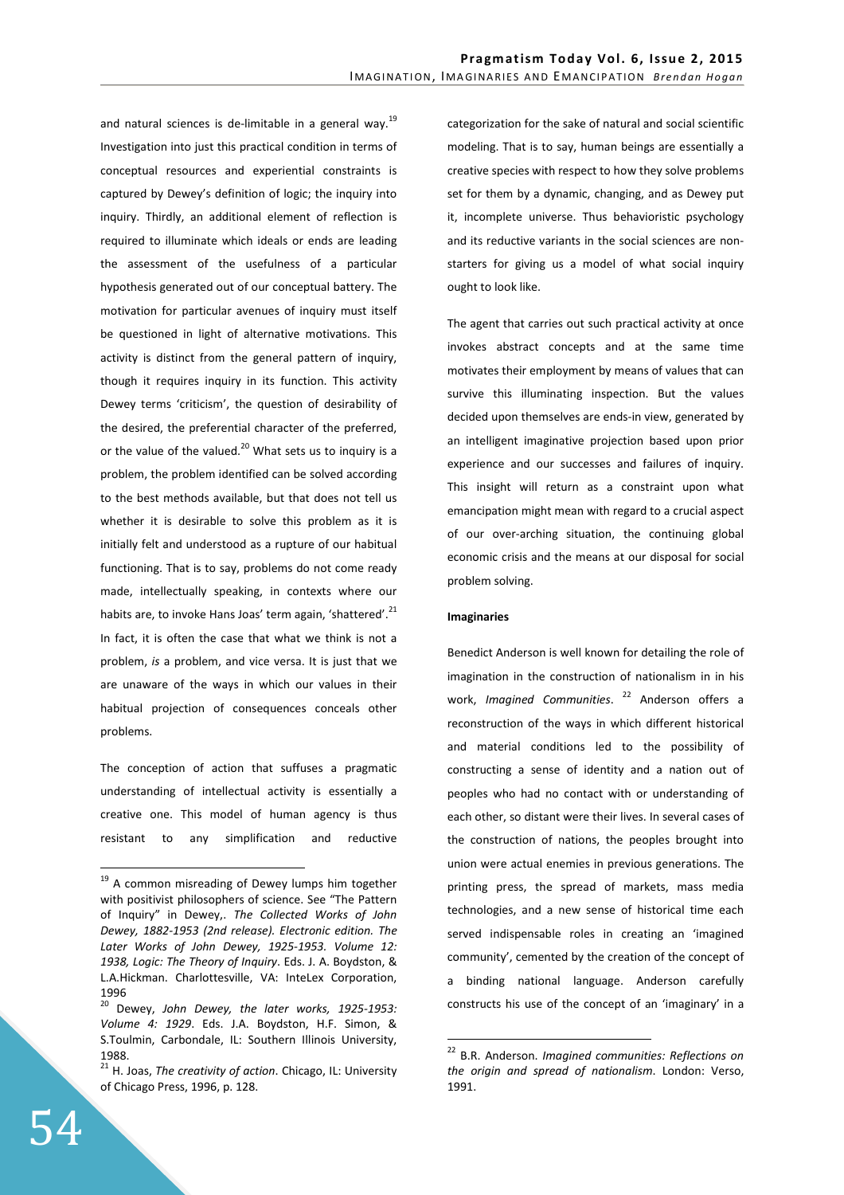and natural sciences is de-limitable in a general way.<sup>19</sup> Investigation into just this practical condition in terms of conceptual resources and experiential constraints is captured by Dewey's definition of logic; the inquiry into inquiry. Thirdly, an additional element of reflection is required to illuminate which ideals or ends are leading the assessment of the usefulness of a particular hypothesis generated out of our conceptual battery. The motivation for particular avenues of inquiry must itself be questioned in light of alternative motivations. This activity is distinct from the general pattern of inquiry, though it requires inquiry in its function. This activity Dewey terms 'criticism', the question of desirability of the desired, the preferential character of the preferred, or the value of the valued.<sup>20</sup> What sets us to inquiry is a problem, the problem identified can be solved according to the best methods available, but that does not tell us whether it is desirable to solve this problem as it is initially felt and understood as a rupture of our habitual functioning. That is to say, problems do not come ready made, intellectually speaking, in contexts where our habits are, to invoke Hans Joas' term again, 'shattered'.<sup>21</sup> In fact, it is often the case that what we think is not a problem, *is* a problem, and vice versa. It is just that we are unaware of the ways in which our values in their habitual projection of consequences conceals other problems.

The conception of action that suffuses a pragmatic understanding of intellectual activity is essentially a creative one. This model of human agency is thus resistant to any simplification and reductive categorization for the sake of natural and social scientific modeling. That is to say, human beings are essentially a creative species with respect to how they solve problems set for them by a dynamic, changing, and as Dewey put it, incomplete universe. Thus behavioristic psychology and its reductive variants in the social sciences are nonstarters for giving us a model of what social inquiry ought to look like.

The agent that carries out such practical activity at once invokes abstract concepts and at the same time motivates their employment by means of values that can survive this illuminating inspection. But the values decided upon themselves are ends-in view, generated by an intelligent imaginative projection based upon prior experience and our successes and failures of inquiry. This insight will return as a constraint upon what emancipation might mean with regard to a crucial aspect of our over-arching situation, the continuing global economic crisis and the means at our disposal for social problem solving.

## **Imaginaries**

 $\overline{a}$ 

Benedict Anderson is well known for detailing the role of imagination in the construction of nationalism in in his work, *Imagined Communities*. <sup>22</sup> Anderson offers a reconstruction of the ways in which different historical and material conditions led to the possibility of constructing a sense of identity and a nation out of peoples who had no contact with or understanding of each other, so distant were their lives. In several cases of the construction of nations, the peoples brought into union were actual enemies in previous generations. The printing press, the spread of markets, mass media technologies, and a new sense of historical time each served indispensable roles in creating an 'imagined community', cemented by the creation of the concept of a binding national language. Anderson carefully constructs his use of the concept of an 'imaginary' in a

<sup>&</sup>lt;sup>19</sup> A common misreading of Dewey lumps him together with positivist philosophers of science. See "The Pattern of Inquiry" in Dewey,. *The Collected Works of John Dewey, 1882-1953 (2nd release). Electronic edition. The Later Works of John Dewey, 1925-1953. Volume 12: 1938, Logic: The Theory of Inquiry*. Eds. J. A. Boydston, & L.A.Hickman. Charlottesville, VA: InteLex Corporation, 1996

<sup>20</sup> Dewey, *John Dewey, the later works, 1925-1953: Volume 4: 1929*. Eds. J.A. Boydston, H.F. Simon, & S.Toulmin, Carbondale, IL: Southern Illinois University, 1988.

<sup>21</sup> H. Joas, *The creativity of action*. Chicago, IL: University of Chicago Press, 1996, p. 128.

<sup>22</sup> B.R. Anderson. *Imagined communities: Reflections on the origin and spread of nationalism*. London: Verso, 1991.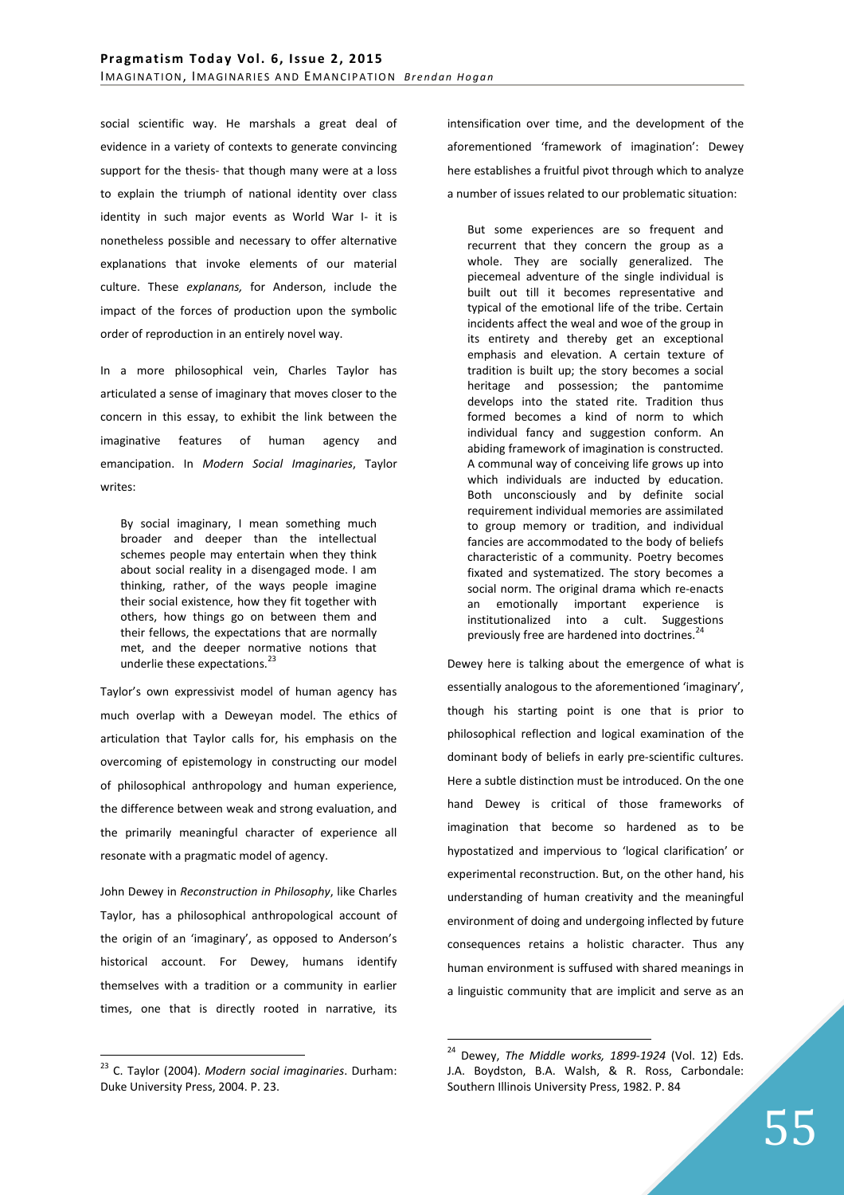social scientific way. He marshals a great deal of evidence in a variety of contexts to generate convincing support for the thesis- that though many were at a loss to explain the triumph of national identity over class identity in such major events as World War I- it is nonetheless possible and necessary to offer alternative explanations that invoke elements of our material culture. These *explanans,* for Anderson, include the impact of the forces of production upon the symbolic order of reproduction in an entirely novel way.

In a more philosophical vein, Charles Taylor has articulated a sense of imaginary that moves closer to the concern in this essay, to exhibit the link between the imaginative features of human agency and emancipation. In *Modern Social Imaginaries*, Taylor writes:

By social imaginary, I mean something much broader and deeper than the intellectual schemes people may entertain when they think about social reality in a disengaged mode. I am thinking, rather, of the ways people imagine their social existence, how they fit together with others, how things go on between them and their fellows, the expectations that are normally met, and the deeper normative notions that underlie these expectations.<sup>23</sup>

Taylor's own expressivist model of human agency has much overlap with a Deweyan model. The ethics of articulation that Taylor calls for, his emphasis on the overcoming of epistemology in constructing our model of philosophical anthropology and human experience, the difference between weak and strong evaluation, and the primarily meaningful character of experience all resonate with a pragmatic model of agency.

John Dewey in *Reconstruction in Philosophy*, like Charles Taylor, has a philosophical anthropological account of the origin of an 'imaginary', as opposed to Anderson's historical account. For Dewey, humans identify themselves with a tradition or a community in earlier times, one that is directly rooted in narrative, its

 $\overline{a}$ 

intensification over time, and the development of the aforementioned 'framework of imagination': Dewey here establishes a fruitful pivot through which to analyze a number of issues related to our problematic situation:

But some experiences are so frequent and recurrent that they concern the group as a whole. They are socially generalized. The piecemeal adventure of the single individual is built out till it becomes representative and typical of the emotional life of the tribe. Certain incidents affect the weal and woe of the group in its entirety and thereby get an exceptional emphasis and elevation. A certain texture of tradition is built up; the story becomes a social heritage and possession; the pantomime develops into the stated rite. Tradition thus formed becomes a kind of norm to which individual fancy and suggestion conform. An abiding framework of imagination is constructed. A communal way of conceiving life grows up into which individuals are inducted by education. Both unconsciously and by definite social requirement individual memories are assimilated to group memory or tradition, and individual fancies are accommodated to the body of beliefs characteristic of a community. Poetry becomes fixated and systematized. The story becomes a social norm. The original drama which re-enacts an emotionally important experience is institutionalized into a cult. Suggestions previously free are hardened into doctrines.<sup>24</sup>

Dewey here is talking about the emergence of what is essentially analogous to the aforementioned 'imaginary', though his starting point is one that is prior to philosophical reflection and logical examination of the dominant body of beliefs in early pre-scientific cultures. Here a subtle distinction must be introduced. On the one hand Dewey is critical of those frameworks of imagination that become so hardened as to be hypostatized and impervious to 'logical clarification' or experimental reconstruction. But, on the other hand, his understanding of human creativity and the meaningful environment of doing and undergoing inflected by future consequences retains a holistic character. Thus any human environment is suffused with shared meanings in a linguistic community that are implicit and serve as an

<sup>23</sup> C. Taylor (2004). *Modern social imaginaries*. Durham: Duke University Press, 2004. P. 23.

<sup>24</sup> Dewey, *The Middle works, 1899-1924* (Vol. 12) Eds. J.A. Boydston, B.A. Walsh, & R. Ross, Carbondale: Southern Illinois University Press, 1982. P. 84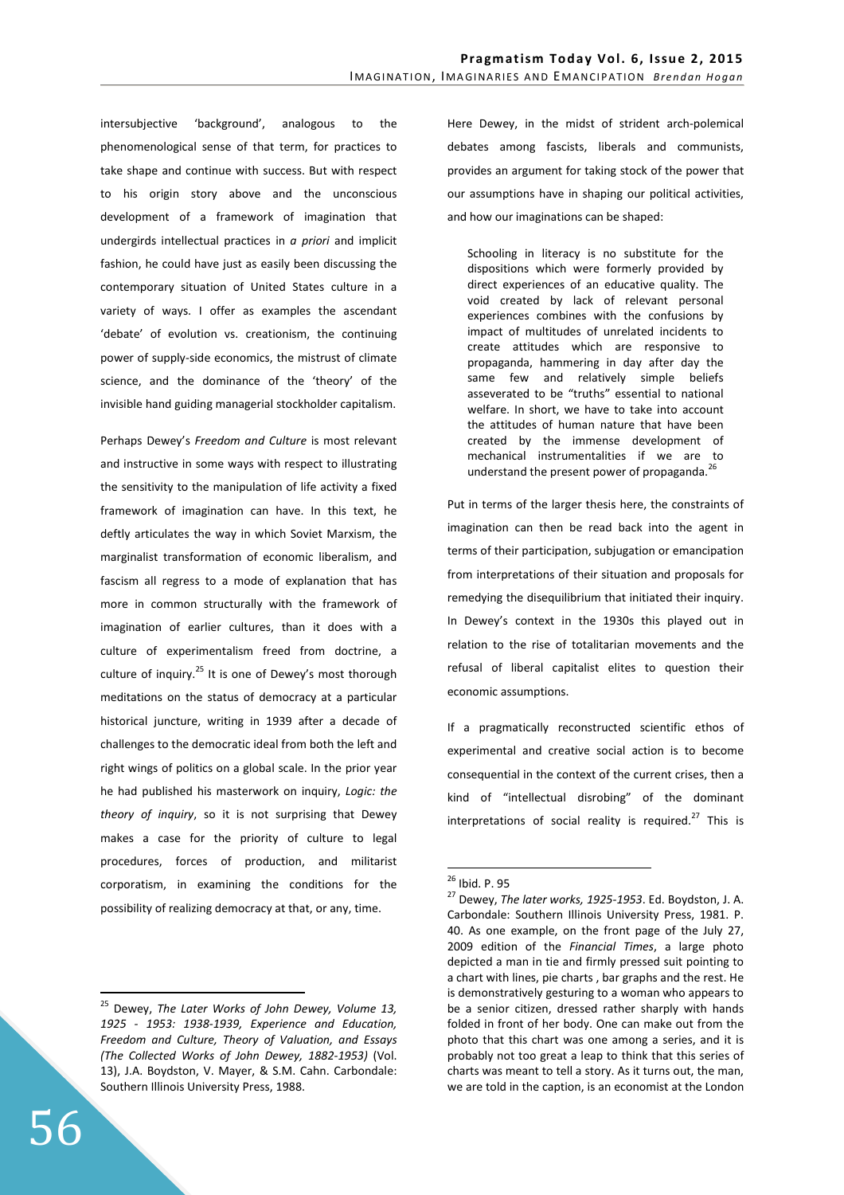intersubjective 'background', analogous to the phenomenological sense of that term, for practices to take shape and continue with success. But with respect to his origin story above and the unconscious development of a framework of imagination that undergirds intellectual practices in *a priori* and implicit fashion, he could have just as easily been discussing the contemporary situation of United States culture in a variety of ways. I offer as examples the ascendant 'debate' of evolution vs. creationism, the continuing power of supply-side economics, the mistrust of climate science, and the dominance of the 'theory' of the invisible hand guiding managerial stockholder capitalism.

Perhaps Dewey's *Freedom and Culture* is most relevant and instructive in some ways with respect to illustrating the sensitivity to the manipulation of life activity a fixed framework of imagination can have. In this text, he deftly articulates the way in which Soviet Marxism, the marginalist transformation of economic liberalism, and fascism all regress to a mode of explanation that has more in common structurally with the framework of imagination of earlier cultures, than it does with a culture of experimentalism freed from doctrine, a culture of inquiry.<sup>25</sup> It is one of Dewey's most thorough meditations on the status of democracy at a particular historical juncture, writing in 1939 after a decade of challenges to the democratic ideal from both the left and right wings of politics on a global scale. In the prior year he had published his masterwork on inquiry, *Logic: the theory of inquiry*, so it is not surprising that Dewey makes a case for the priority of culture to legal procedures, forces of production, and militarist corporatism, in examining the conditions for the possibility of realizing democracy at that, or any, time.

Here Dewey, in the midst of strident arch-polemical debates among fascists, liberals and communists, provides an argument for taking stock of the power that our assumptions have in shaping our political activities, and how our imaginations can be shaped:

Schooling in literacy is no substitute for the dispositions which were formerly provided by direct experiences of an educative quality. The void created by lack of relevant personal experiences combines with the confusions by impact of multitudes of unrelated incidents to create attitudes which are responsive to propaganda, hammering in day after day the same few and relatively simple beliefs asseverated to be "truths" essential to national welfare. In short, we have to take into account the attitudes of human nature that have been created by the immense development of mechanical instrumentalities if we are to understand the present power of propaganda. $^{26}$ 

Put in terms of the larger thesis here, the constraints of imagination can then be read back into the agent in terms of their participation, subjugation or emancipation from interpretations of their situation and proposals for remedying the disequilibrium that initiated their inquiry. In Dewey's context in the 1930s this played out in relation to the rise of totalitarian movements and the refusal of liberal capitalist elites to question their economic assumptions.

If a pragmatically reconstructed scientific ethos of experimental and creative social action is to become consequential in the context of the current crises, then a kind of "intellectual disrobing" of the dominant interpretations of social reality is required.<sup>27</sup> This is

 $\overline{a}$ 

<sup>25</sup> Dewey, *The Later Works of John Dewey, Volume 13, 1925 - 1953: 1938-1939, Experience and Education, Freedom and Culture, Theory of Valuation, and Essays (The Collected Works of John Dewey, 1882-1953)* (Vol. 13), J.A. Boydston, V. Mayer, & S.M. Cahn. Carbondale: Southern Illinois University Press, 1988.

<sup>&</sup>lt;sup>26</sup> Ibid. P. 95

<sup>27</sup> Dewey, *The later works, 1925-1953*. Ed. Boydston, J. A. Carbondale: Southern Illinois University Press, 1981. P. 40. As one example, on the front page of the July 27, 2009 edition of the *Financial Times*, a large photo depicted a man in tie and firmly pressed suit pointing to a chart with lines, pie charts , bar graphs and the rest. He is demonstratively gesturing to a woman who appears to be a senior citizen, dressed rather sharply with hands folded in front of her body. One can make out from the photo that this chart was one among a series, and it is probably not too great a leap to think that this series of charts was meant to tell a story. As it turns out, the man, we are told in the caption, is an economist at the London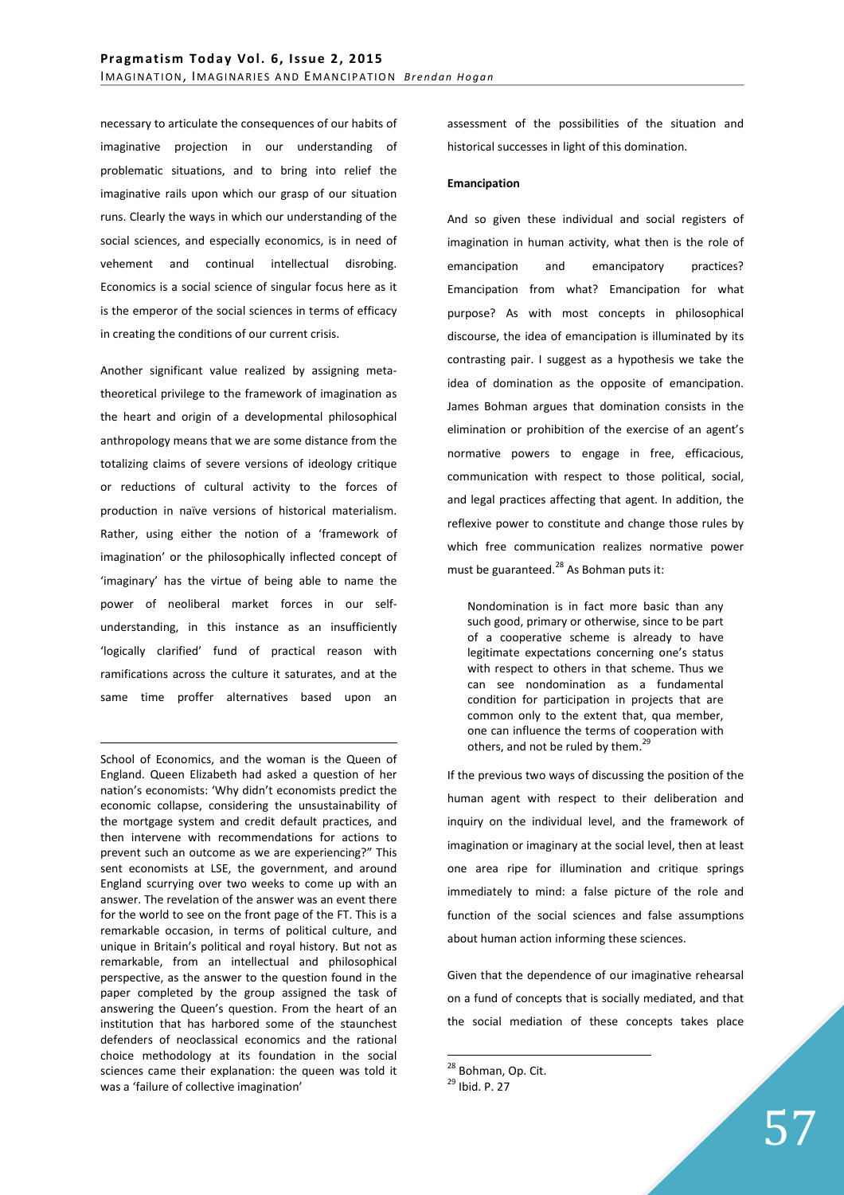necessary to articulate the consequences of our habits of imaginative projection in our understanding of problematic situations, and to bring into relief the imaginative rails upon which our grasp of our situation runs. Clearly the ways in which our understanding of the social sciences, and especially economics, is in need of vehement and continual intellectual disrobing. Economics is a social science of singular focus here as it is the emperor of the social sciences in terms of efficacy in creating the conditions of our current crisis.

Another significant value realized by assigning metatheoretical privilege to the framework of imagination as the heart and origin of a developmental philosophical anthropology means that we are some distance from the totalizing claims of severe versions of ideology critique or reductions of cultural activity to the forces of production in naïve versions of historical materialism. Rather, using either the notion of a 'framework of imagination' or the philosophically inflected concept of 'imaginary' has the virtue of being able to name the power of neoliberal market forces in our selfunderstanding, in this instance as an insufficiently 'logically clarified' fund of practical reason with ramifications across the culture it saturates, and at the same time proffer alternatives based upon an

School of Economics, and the woman is the Queen of England. Queen Elizabeth had asked a question of her nation's economists: 'Why didn't economists predict the economic collapse, considering the unsustainability of the mortgage system and credit default practices, and then intervene with recommendations for actions to prevent such an outcome as we are experiencing?" This sent economists at LSE, the government, and around England scurrying over two weeks to come up with an answer. The revelation of the answer was an event there for the world to see on the front page of the FT. This is a remarkable occasion, in terms of political culture, and unique in Britain's political and royal history. But not as remarkable, from an intellectual and philosophical perspective, as the answer to the question found in the paper completed by the group assigned the task of answering the Queen's question. From the heart of an institution that has harbored some of the staunchest defenders of neoclassical economics and the rational choice methodology at its foundation in the social sciences came their explanation: the queen was told it was a 'failure of collective imagination'

<u>.</u>

assessment of the possibilities of the situation and historical successes in light of this domination.

## **Emancipation**

And so given these individual and social registers of imagination in human activity, what then is the role of emancipation and emancipatory practices? Emancipation from what? Emancipation for what purpose? As with most concepts in philosophical discourse, the idea of emancipation is illuminated by its contrasting pair. I suggest as a hypothesis we take the idea of domination as the opposite of emancipation. James Bohman argues that domination consists in the elimination or prohibition of the exercise of an agent's normative powers to engage in free, efficacious, communication with respect to those political, social, and legal practices affecting that agent. In addition, the reflexive power to constitute and change those rules by which free communication realizes normative power must be guaranteed. $^{28}$  As Bohman puts it:

Nondomination is in fact more basic than any such good, primary or otherwise, since to be part of a cooperative scheme is already to have legitimate expectations concerning one's status with respect to others in that scheme. Thus we can see nondomination as a fundamental condition for participation in projects that are common only to the extent that, qua member, one can influence the terms of cooperation with others, and not be ruled by them.<sup>29</sup>

If the previous two ways of discussing the position of the human agent with respect to their deliberation and inquiry on the individual level, and the framework of imagination or imaginary at the social level, then at least one area ripe for illumination and critique springs immediately to mind: a false picture of the role and function of the social sciences and false assumptions about human action informing these sciences.

Given that the dependence of our imaginative rehearsal on a fund of concepts that is socially mediated, and that the social mediation of these concepts takes place

 $\overline{a}$ <sup>28</sup> Bohman, Op. Cit.

<sup>29</sup> Ibid. P. 27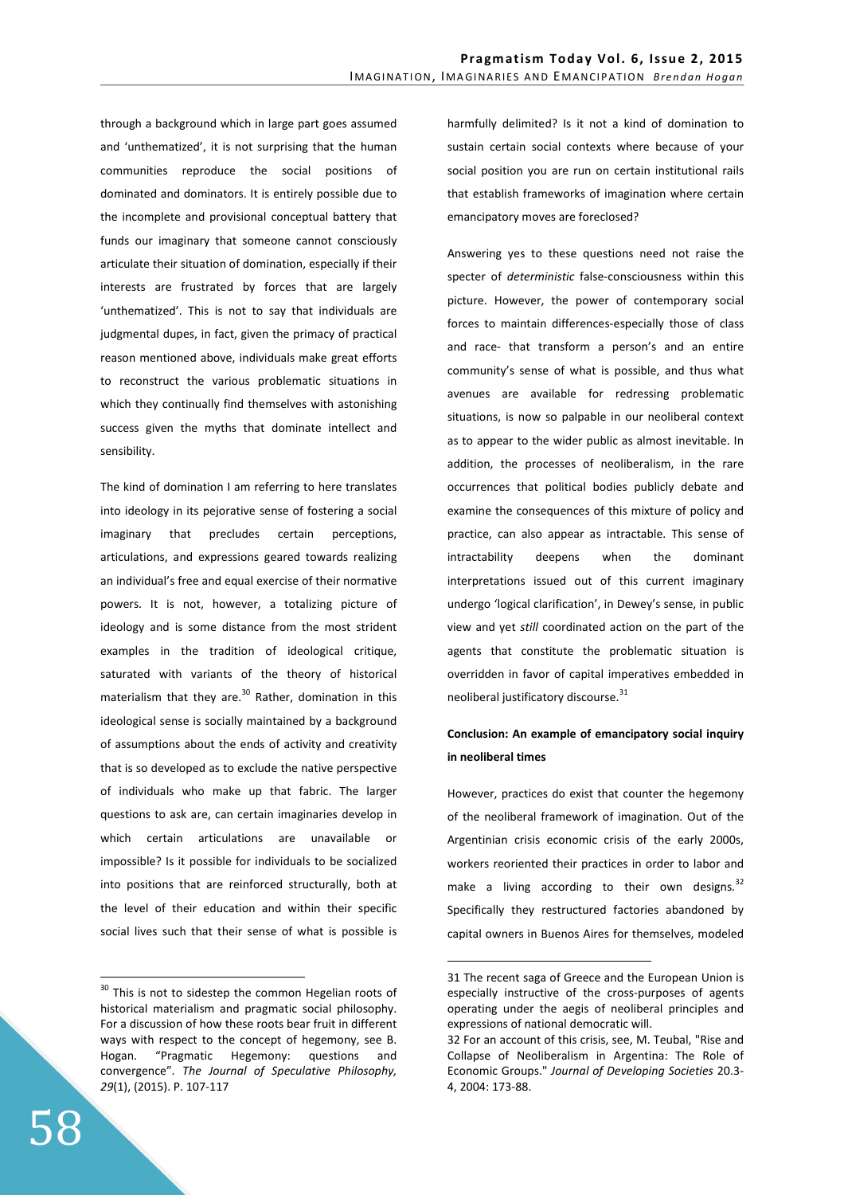through a background which in large part goes assumed and 'unthematized', it is not surprising that the human communities reproduce the social positions of dominated and dominators. It is entirely possible due to the incomplete and provisional conceptual battery that funds our imaginary that someone cannot consciously articulate their situation of domination, especially if their interests are frustrated by forces that are largely 'unthematized'. This is not to say that individuals are judgmental dupes, in fact, given the primacy of practical reason mentioned above, individuals make great efforts to reconstruct the various problematic situations in which they continually find themselves with astonishing success given the myths that dominate intellect and sensibility.

The kind of domination I am referring to here translates into ideology in its pejorative sense of fostering a social imaginary that precludes certain perceptions, articulations, and expressions geared towards realizing an individual's free and equal exercise of their normative powers. It is not, however, a totalizing picture of ideology and is some distance from the most strident examples in the tradition of ideological critique, saturated with variants of the theory of historical materialism that they are.<sup>30</sup> Rather, domination in this ideological sense is socially maintained by a background of assumptions about the ends of activity and creativity that is so developed as to exclude the native perspective of individuals who make up that fabric. The larger questions to ask are, can certain imaginaries develop in which certain articulations are unavailable or impossible? Is it possible for individuals to be socialized into positions that are reinforced structurally, both at the level of their education and within their specific social lives such that their sense of what is possible is harmfully delimited? Is it not a kind of domination to sustain certain social contexts where because of your social position you are run on certain institutional rails that establish frameworks of imagination where certain emancipatory moves are foreclosed?

Answering yes to these questions need not raise the specter of *deterministic* false-consciousness within this picture. However, the power of contemporary social forces to maintain differences-especially those of class and race- that transform a person's and an entire community's sense of what is possible, and thus what avenues are available for redressing problematic situations, is now so palpable in our neoliberal context as to appear to the wider public as almost inevitable. In addition, the processes of neoliberalism, in the rare occurrences that political bodies publicly debate and examine the consequences of this mixture of policy and practice, can also appear as intractable. This sense of intractability deepens when the dominant interpretations issued out of this current imaginary undergo 'logical clarification', in Dewey's sense, in public view and yet *still* coordinated action on the part of the agents that constitute the problematic situation is overridden in favor of capital imperatives embedded in neoliberal justificatory discourse. $^{31}$ 

# **Conclusion: An example of emancipatory social inquiry in neoliberal times**

However, practices do exist that counter the hegemony of the neoliberal framework of imagination. Out of the Argentinian crisis economic crisis of the early 2000s, workers reoriented their practices in order to labor and make a living according to their own designs. $32$ Specifically they restructured factories abandoned by capital owners in Buenos Aires for themselves, modeled

 $\overline{a}$ 

<sup>&</sup>lt;sup>30</sup> This is not to sidestep the common Hegelian roots of historical materialism and pragmatic social philosophy. For a discussion of how these roots bear fruit in different ways with respect to the concept of hegemony, see B. Hogan. "Pragmatic Hegemony: questions and convergence". *The Journal of Speculative Philosophy, 29*(1), (2015). P. 107-117

<sup>31</sup> The recent saga of Greece and the European Union is especially instructive of the cross-purposes of agents operating under the aegis of neoliberal principles and expressions of national democratic will.

<sup>32</sup> For an account of this crisis, see, M. Teubal, "Rise and Collapse of Neoliberalism in Argentina: The Role of Economic Groups." *Journal of Developing Societies* 20.3- 4, 2004: 173-88.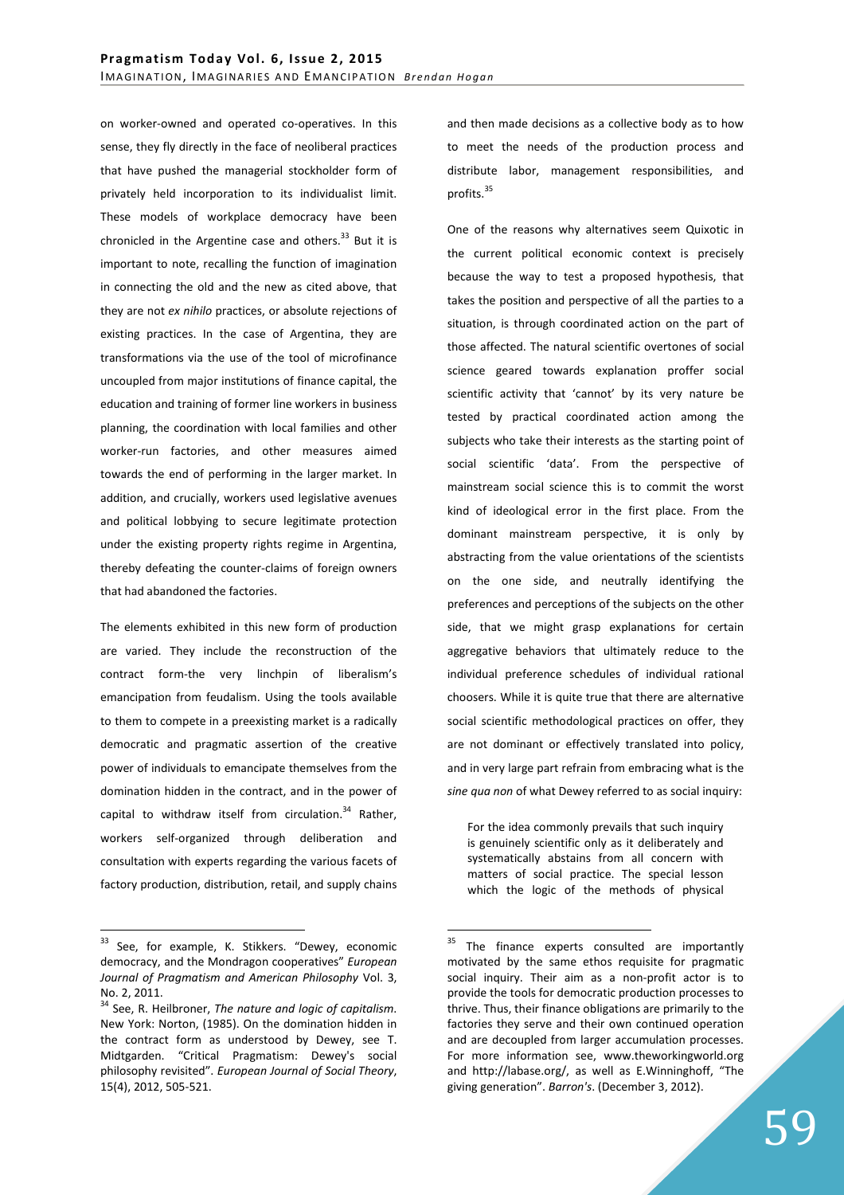on worker-owned and operated co-operatives. In this sense, they fly directly in the face of neoliberal practices that have pushed the managerial stockholder form of privately held incorporation to its individualist limit. These models of workplace democracy have been chronicled in the Argentine case and others. $33$  But it is important to note, recalling the function of imagination in connecting the old and the new as cited above, that they are not *ex nihilo* practices, or absolute rejections of existing practices. In the case of Argentina, they are transformations via the use of the tool of microfinance uncoupled from major institutions of finance capital, the education and training of former line workers in business planning, the coordination with local families and other worker-run factories, and other measures aimed towards the end of performing in the larger market. In addition, and crucially, workers used legislative avenues and political lobbying to secure legitimate protection under the existing property rights regime in Argentina, thereby defeating the counter-claims of foreign owners that had abandoned the factories.

The elements exhibited in this new form of production are varied. They include the reconstruction of the contract form-the very linchpin of liberalism's emancipation from feudalism. Using the tools available to them to compete in a preexisting market is a radically democratic and pragmatic assertion of the creative power of individuals to emancipate themselves from the domination hidden in the contract, and in the power of capital to withdraw itself from circulation. $34$  Rather, workers self-organized through deliberation and consultation with experts regarding the various facets of factory production, distribution, retail, and supply chains

 $\overline{a}$ 

and then made decisions as a collective body as to how to meet the needs of the production process and distribute labor, management responsibilities, and profits.<sup>35</sup>

One of the reasons why alternatives seem Quixotic in the current political economic context is precisely because the way to test a proposed hypothesis, that takes the position and perspective of all the parties to a situation, is through coordinated action on the part of those affected. The natural scientific overtones of social science geared towards explanation proffer social scientific activity that 'cannot' by its very nature be tested by practical coordinated action among the subjects who take their interests as the starting point of social scientific 'data'. From the perspective of mainstream social science this is to commit the worst kind of ideological error in the first place. From the dominant mainstream perspective, it is only by abstracting from the value orientations of the scientists on the one side, and neutrally identifying the preferences and perceptions of the subjects on the other side, that we might grasp explanations for certain aggregative behaviors that ultimately reduce to the individual preference schedules of individual rational choosers. While it is quite true that there are alternative social scientific methodological practices on offer, they are not dominant or effectively translated into policy, and in very large part refrain from embracing what is the *sine qua non* of what Dewey referred to as social inquiry:

For the idea commonly prevails that such inquiry is genuinely scientific only as it deliberately and systematically abstains from all concern with matters of social practice. The special lesson which the logic of the methods of physical

<sup>&</sup>lt;sup>33</sup> See, for example, K. Stikkers. "Dewey, economic democracy, and the Mondragon cooperatives" *European Journal of Pragmatism and American Philosophy* Vol. 3, No. 2, 2011.

<sup>34</sup> See, R. Heilbroner, *The nature and logic of capitalism*. New York: Norton, (1985). On the domination hidden in the contract form as understood by Dewey, see T. Midtgarden. "Critical Pragmatism: Dewey's social philosophy revisited". *European Journal of Social Theory*, 15(4), 2012, 505-521.

<sup>&</sup>lt;sup>35</sup> The finance experts consulted are importantly motivated by the same ethos requisite for pragmatic social inquiry. Their aim as a non-profit actor is to provide the tools for democratic production processes to thrive. Thus, their finance obligations are primarily to the factories they serve and their own continued operation and are decoupled from larger accumulation processes. For more information see, www.theworkingworld.org and http://labase.org/, as well as E.Winninghoff, "The giving generation". *Barron's*. (December 3, 2012).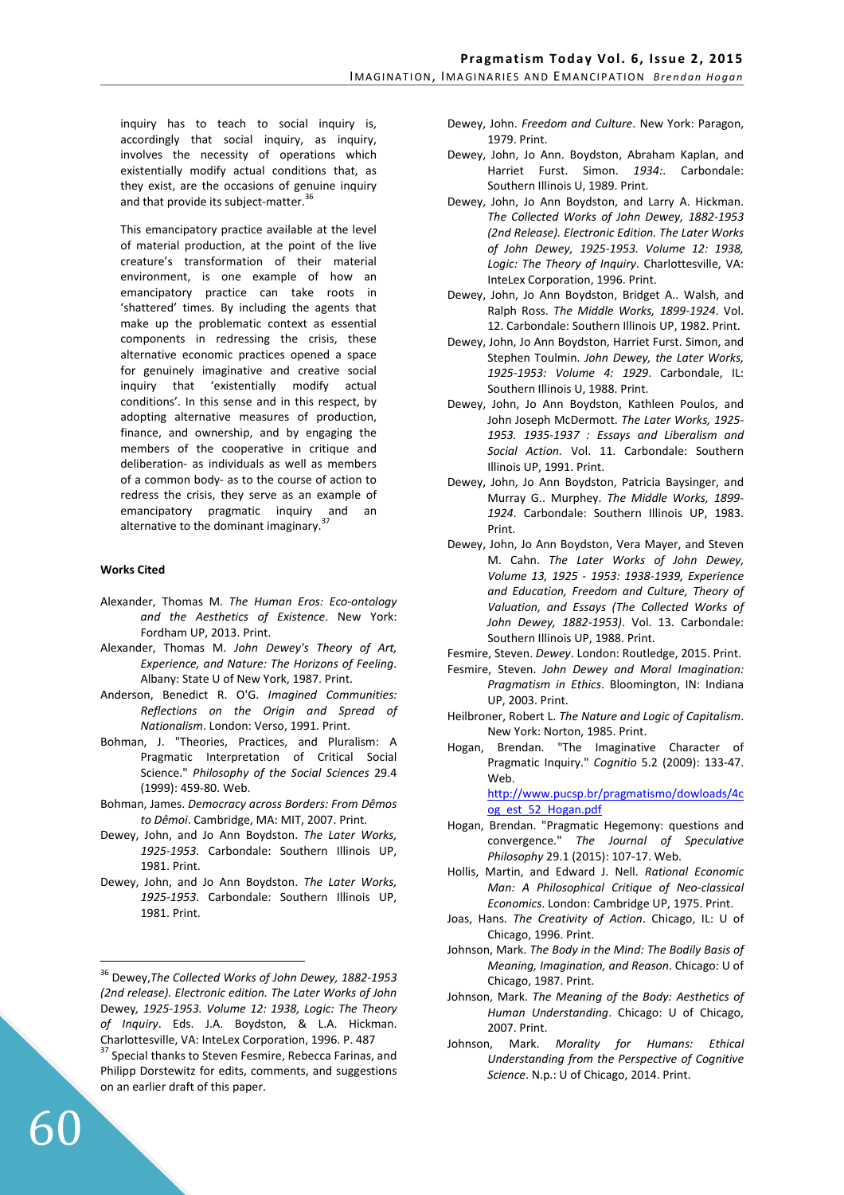inquiry has to teach to social inquiry is, accordingly that social inquiry, as inquiry, involves the necessity of operations which existentially modify actual conditions that, as they exist, are the occasions of genuine inquiry and that provide its subject-matter.<sup>3</sup>

This emancipatory practice available at the level of material production, at the point of the live creature's transformation of their material environment, is one example of how an emancipatory practice can take roots in 'shattered' times. By including the agents that make up the problematic context as essential components in redressing the crisis, these alternative economic practices opened a space for genuinely imaginative and creative social inquiry that 'existentially modify actual conditions'. In this sense and in this respect, by adopting alternative measures of production, finance, and ownership, and by engaging the members of the cooperative in critique and deliberation- as individuals as well as members of a common body- as to the course of action to redress the crisis, they serve as an example of emancipatory pragmatic inquiry and an alternative to the dominant imaginary.<sup>37</sup>

# **Works Cited**

- Alexander, Thomas M. *The Human Eros: Eco-ontology and the Aesthetics of Existence*. New York: Fordham UP, 2013. Print.
- Alexander, Thomas M. *John Dewey's Theory of Art, Experience, and Nature: The Horizons of Feeling*. Albany: State U of New York, 1987. Print.
- Anderson, Benedict R. O'G. *Imagined Communities: Reflections on the Origin and Spread of Nationalism*. London: Verso, 1991. Print.
- Bohman, J. "Theories, Practices, and Pluralism: A Pragmatic Interpretation of Critical Social Science." *Philosophy of the Social Sciences* 29.4 (1999): 459-80. Web.
- Bohman, James. *Democracy across Borders: From Dêmos to Dêmoi*. Cambridge, MA: MIT, 2007. Print.
- Dewey, John, and Jo Ann Boydston. *The Later Works, 1925-1953*. Carbondale: Southern Illinois UP, 1981. Print.
- Dewey, John, and Jo Ann Boydston. *The Later Works, 1925-1953*. Carbondale: Southern Illinois UP, 1981. Print.

60

 $\overline{a}$ 

- Dewey, John. *Freedom and Culture*. New York: Paragon, 1979. Print.
- Dewey, John, Jo Ann. Boydston, Abraham Kaplan, and Harriet Furst. Simon. *1934:*. Carbondale: Southern Illinois U, 1989. Print.
- Dewey, John, Jo Ann Boydston, and Larry A. Hickman. *The Collected Works of John Dewey, 1882-1953 (2nd Release). Electronic Edition. The Later Works of John Dewey, 1925-1953. Volume 12: 1938, Logic: The Theory of Inquiry*. Charlottesville, VA: InteLex Corporation, 1996. Print.
- Dewey, John, Jo Ann Boydston, Bridget A.. Walsh, and Ralph Ross. *The Middle Works, 1899-1924*. Vol. 12. Carbondale: Southern Illinois UP, 1982. Print.
- Dewey, John, Jo Ann Boydston, Harriet Furst. Simon, and Stephen Toulmin. *John Dewey, the Later Works, 1925-1953: Volume 4: 1929*. Carbondale, IL: Southern Illinois U, 1988. Print.
- Dewey, John, Jo Ann Boydston, Kathleen Poulos, and John Joseph McDermott. *The Later Works, 1925- 1953. 1935-1937 : Essays and Liberalism and Social Action.* Vol. 11. Carbondale: Southern Illinois UP, 1991. Print.
- Dewey, John, Jo Ann Boydston, Patricia Baysinger, and Murray G.. Murphey. *The Middle Works, 1899- 1924*. Carbondale: Southern Illinois UP, 1983. Print.
- Dewey, John, Jo Ann Boydston, Vera Mayer, and Steven M. Cahn. *The Later Works of John Dewey, Volume 13, 1925 - 1953: 1938-1939, Experience and Education, Freedom and Culture, Theory of Valuation, and Essays (The Collected Works of John Dewey, 1882-1953)*. Vol. 13. Carbondale: Southern Illinois UP, 1988. Print.
- Fesmire, Steven. *Dewey*. London: Routledge, 2015. Print.
- Fesmire, Steven. *John Dewey and Moral Imagination: Pragmatism in Ethics*. Bloomington, IN: Indiana UP, 2003. Print.
- Heilbroner, Robert L. *The Nature and Logic of Capitalism*. New York: Norton, 1985. Print.
- Hogan, Brendan. "The Imaginative Character of Pragmatic Inquiry." *Cognitio* 5.2 (2009): 133-47. Web. http://www.pucsp.br/pragmatismo/dowloads/4c

og\_est\_52\_Hogan.pdf

- Hogan, Brendan. "Pragmatic Hegemony: questions and convergence." *The Journal of Speculative Philosophy* 29.1 (2015): 107-17. Web.
- Hollis, Martin, and Edward J. Nell. *Rational Economic Man: A Philosophical Critique of Neo-classical Economics*. London: Cambridge UP, 1975. Print.
- Joas, Hans. *The Creativity of Action*. Chicago, IL: U of Chicago, 1996. Print.
- Johnson, Mark. *The Body in the Mind: The Bodily Basis of Meaning, Imagination, and Reason*. Chicago: U of Chicago, 1987. Print.
- Johnson, Mark. *The Meaning of the Body: Aesthetics of Human Understanding*. Chicago: U of Chicago, 2007. Print.
- Johnson, Mark. *Morality for Humans: Ethical Understanding from the Perspective of Cognitive Science*. N.p.: U of Chicago, 2014. Print.

<sup>36</sup> Dewey,*The Collected Works of John Dewey, 1882-1953 (2nd release). Electronic edition. The Later Works of John*  Dewey*, 1925-1953. Volume 12: 1938, Logic: The Theory of Inquiry*. Eds. J.A. Boydston, & L.A. Hickman. Charlottesville, VA: InteLex Corporation, 1996. P. 487 <sup>37</sup> Special thanks to Steven Fesmire, Rebecca Farinas, and Philipp Dorstewitz for edits, comments, and suggestions

on an earlier draft of this paper.